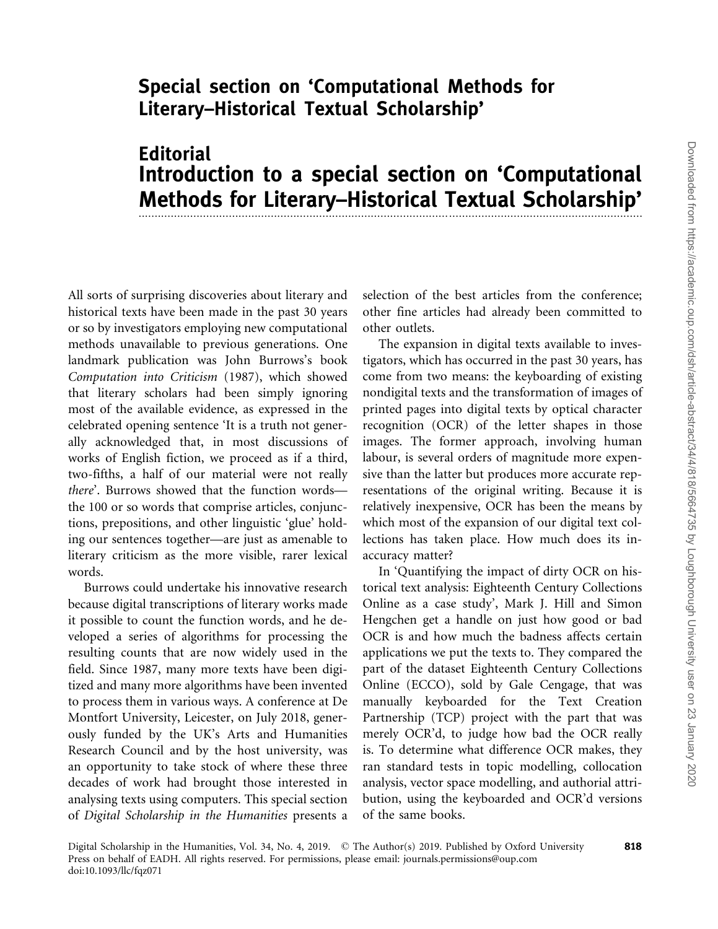## Special section on 'Computational Methods for Literary–Historical Textual Scholarship'

## **Editorial** Introduction to a special section on 'Computational Methods for Literary–Historical Textual Scholarship'

All sorts of surprising discoveries about literary and historical texts have been made in the past 30 years or so by investigators employing new computational methods unavailable to previous generations. One landmark publication was John Burrows's book Computation into Criticism (1987), which showed that literary scholars had been simply ignoring most of the available evidence, as expressed in the celebrated opening sentence 'It is a truth not generally acknowledged that, in most discussions of works of English fiction, we proceed as if a third, two-fifths, a half of our material were not really there'. Burrows showed that the function words the 100 or so words that comprise articles, conjunctions, prepositions, and other linguistic 'glue' holding our sentences together—are just as amenable to literary criticism as the more visible, rarer lexical words.

Burrows could undertake his innovative research because digital transcriptions of literary works made it possible to count the function words, and he developed a series of algorithms for processing the resulting counts that are now widely used in the field. Since 1987, many more texts have been digitized and many more algorithms have been invented to process them in various ways. A conference at De Montfort University, Leicester, on July 2018, generously funded by the UK's Arts and Humanities Research Council and by the host university, was an opportunity to take stock of where these three decades of work had brought those interested in analysing texts using computers. This special section of Digital Scholarship in the Humanities presents a

selection of the best articles from the conference; other fine articles had already been committed to other outlets.

The expansion in digital texts available to investigators, which has occurred in the past 30 years, has come from two means: the keyboarding of existing nondigital texts and the transformation of images of printed pages into digital texts by optical character recognition (OCR) of the letter shapes in those images. The former approach, involving human labour, is several orders of magnitude more expensive than the latter but produces more accurate representations of the original writing. Because it is relatively inexpensive, OCR has been the means by which most of the expansion of our digital text collections has taken place. How much does its inaccuracy matter?

In 'Quantifying the impact of dirty OCR on historical text analysis: Eighteenth Century Collections Online as a case study', Mark J. Hill and Simon Hengchen get a handle on just how good or bad OCR is and how much the badness affects certain applications we put the texts to. They compared the part of the dataset Eighteenth Century Collections Online (ECCO), sold by Gale Cengage, that was manually keyboarded for the Text Creation Partnership (TCP) project with the part that was merely OCR'd, to judge how bad the OCR really is. To determine what difference OCR makes, they ran standard tests in topic modelling, collocation analysis, vector space modelling, and authorial attribution, using the keyboarded and OCR'd versions of the same books.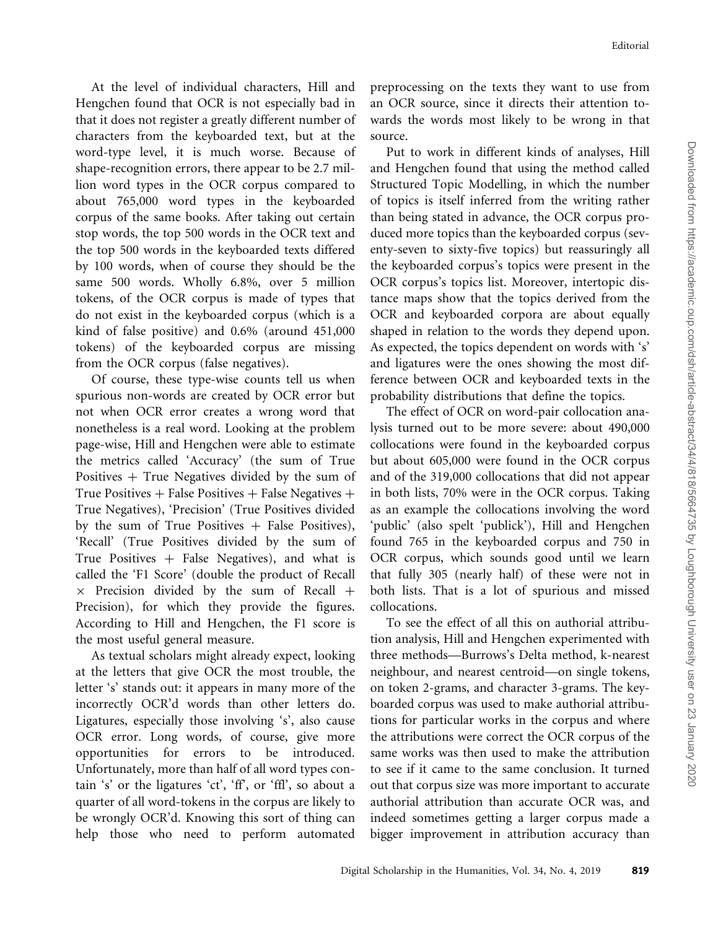At the level of individual characters, Hill and Hengchen found that OCR is not especially bad in that it does not register a greatly different number of characters from the keyboarded text, but at the word-type level, it is much worse. Because of shape-recognition errors, there appear to be 2.7 million word types in the OCR corpus compared to about 765,000 word types in the keyboarded corpus of the same books. After taking out certain stop words, the top 500 words in the OCR text and the top 500 words in the keyboarded texts differed by 100 words, when of course they should be the same 500 words. Wholly 6.8%, over 5 million tokens, of the OCR corpus is made of types that do not exist in the keyboarded corpus (which is a kind of false positive) and 0.6% (around 451,000 tokens) of the keyboarded corpus are missing from the OCR corpus (false negatives).

Of course, these type-wise counts tell us when spurious non-words are created by OCR error but not when OCR error creates a wrong word that nonetheless is a real word. Looking at the problem page-wise, Hill and Hengchen were able to estimate the metrics called 'Accuracy' (the sum of True Positives  $+$  True Negatives divided by the sum of True Positives + False Positives + False Negatives + True Negatives), 'Precision' (True Positives divided by the sum of True Positives  $+$  False Positives), 'Recall' (True Positives divided by the sum of True Positives  $+$  False Negatives), and what is called the 'F1 Score' (double the product of Recall  $\times$  Precision divided by the sum of Recall + Precision), for which they provide the figures. According to Hill and Hengchen, the F1 score is the most useful general measure.

As textual scholars might already expect, looking at the letters that give OCR the most trouble, the letter 's' stands out: it appears in many more of the incorrectly OCR'd words than other letters do. Ligatures, especially those involving 's', also cause OCR error. Long words, of course, give more opportunities for errors to be introduced. Unfortunately, more than half of all word types contain 's' or the ligatures 'ct', 'ff', or 'ffl', so about a quarter of all word-tokens in the corpus are likely to be wrongly OCR'd. Knowing this sort of thing can help those who need to perform automated preprocessing on the texts they want to use from an OCR source, since it directs their attention towards the words most likely to be wrong in that source.

Put to work in different kinds of analyses, Hill and Hengchen found that using the method called Structured Topic Modelling, in which the number of topics is itself inferred from the writing rather than being stated in advance, the OCR corpus produced more topics than the keyboarded corpus (seventy-seven to sixty-five topics) but reassuringly all the keyboarded corpus's topics were present in the OCR corpus's topics list. Moreover, intertopic distance maps show that the topics derived from the OCR and keyboarded corpora are about equally shaped in relation to the words they depend upon. As expected, the topics dependent on words with 's' and ligatures were the ones showing the most difference between OCR and keyboarded texts in the probability distributions that define the topics.

The effect of OCR on word-pair collocation analysis turned out to be more severe: about 490,000 collocations were found in the keyboarded corpus but about 605,000 were found in the OCR corpus and of the 319,000 collocations that did not appear in both lists, 70% were in the OCR corpus. Taking as an example the collocations involving the word 'public' (also spelt 'publick'), Hill and Hengchen found 765 in the keyboarded corpus and 750 in OCR corpus, which sounds good until we learn that fully 305 (nearly half) of these were not in both lists. That is a lot of spurious and missed collocations.

To see the effect of all this on authorial attribution analysis, Hill and Hengchen experimented with three methods—Burrows's Delta method, k-nearest neighbour, and nearest centroid—on single tokens, on token 2-grams, and character 3-grams. The keyboarded corpus was used to make authorial attributions for particular works in the corpus and where the attributions were correct the OCR corpus of the same works was then used to make the attribution to see if it came to the same conclusion. It turned out that corpus size was more important to accurate authorial attribution than accurate OCR was, and indeed sometimes getting a larger corpus made a bigger improvement in attribution accuracy than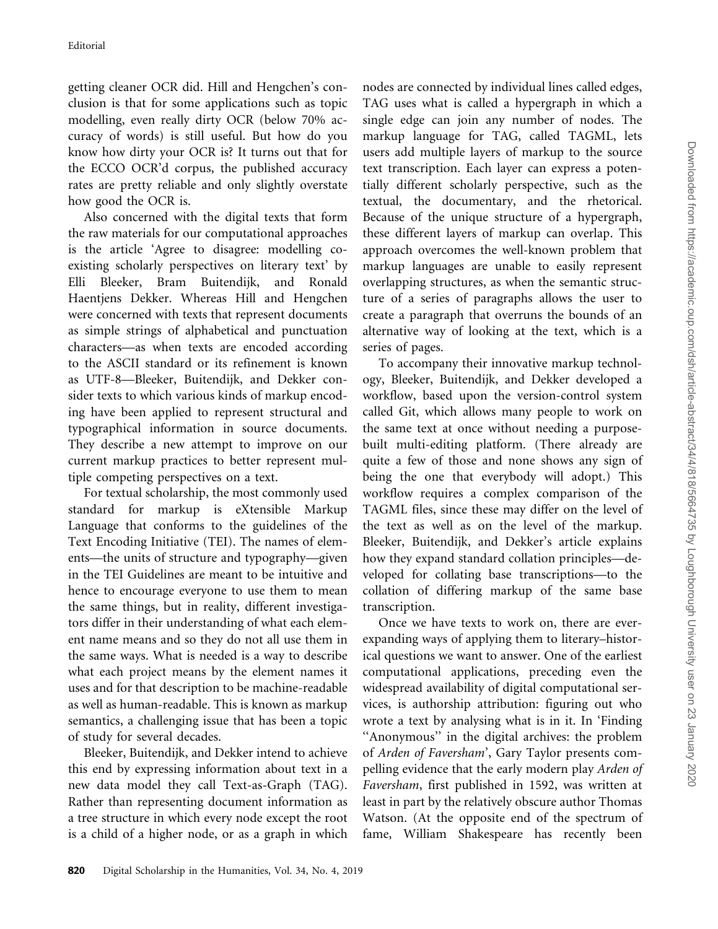getting cleaner OCR did. Hill and Hengchen's conclusion is that for some applications such as topic modelling, even really dirty OCR (below 70% accuracy of words) is still useful. But how do you know how dirty your OCR is? It turns out that for the ECCO OCR'd corpus, the published accuracy rates are pretty reliable and only slightly overstate how good the OCR is.

Also concerned with the digital texts that form the raw materials for our computational approaches is the article 'Agree to disagree: modelling coexisting scholarly perspectives on literary text' by Elli Bleeker, Bram Buitendijk, and Ronald Haentjens Dekker. Whereas Hill and Hengchen were concerned with texts that represent documents as simple strings of alphabetical and punctuation characters—as when texts are encoded according to the ASCII standard or its refinement is known as UTF-8—Bleeker, Buitendijk, and Dekker consider texts to which various kinds of markup encoding have been applied to represent structural and typographical information in source documents. They describe a new attempt to improve on our current markup practices to better represent multiple competing perspectives on a text.

For textual scholarship, the most commonly used standard for markup is eXtensible Markup Language that conforms to the guidelines of the Text Encoding Initiative (TEI). The names of elements—the units of structure and typography—given in the TEI Guidelines are meant to be intuitive and hence to encourage everyone to use them to mean the same things, but in reality, different investigators differ in their understanding of what each element name means and so they do not all use them in the same ways. What is needed is a way to describe what each project means by the element names it uses and for that description to be machine-readable as well as human-readable. This is known as markup semantics, a challenging issue that has been a topic of study for several decades.

Bleeker, Buitendijk, and Dekker intend to achieve this end by expressing information about text in a new data model they call Text-as-Graph (TAG). Rather than representing document information as a tree structure in which every node except the root is a child of a higher node, or as a graph in which

nodes are connected by individual lines called edges, TAG uses what is called a hypergraph in which a single edge can join any number of nodes. The markup language for TAG, called TAGML, lets users add multiple layers of markup to the source text transcription. Each layer can express a potentially different scholarly perspective, such as the textual, the documentary, and the rhetorical. Because of the unique structure of a hypergraph, these different layers of markup can overlap. This approach overcomes the well-known problem that markup languages are unable to easily represent overlapping structures, as when the semantic structure of a series of paragraphs allows the user to create a paragraph that overruns the bounds of an alternative way of looking at the text, which is a series of pages.

To accompany their innovative markup technology, Bleeker, Buitendijk, and Dekker developed a workflow, based upon the version-control system called Git, which allows many people to work on the same text at once without needing a purposebuilt multi-editing platform. (There already are quite a few of those and none shows any sign of being the one that everybody will adopt.) This workflow requires a complex comparison of the TAGML files, since these may differ on the level of the text as well as on the level of the markup. Bleeker, Buitendijk, and Dekker's article explains how they expand standard collation principles—developed for collating base transcriptions—to the collation of differing markup of the same base transcription.

Once we have texts to work on, there are everexpanding ways of applying them to literary–historical questions we want to answer. One of the earliest computational applications, preceding even the widespread availability of digital computational services, is authorship attribution: figuring out who wrote a text by analysing what is in it. In 'Finding ''Anonymous'' in the digital archives: the problem of Arden of Faversham', Gary Taylor presents compelling evidence that the early modern play Arden of Faversham, first published in 1592, was written at least in part by the relatively obscure author Thomas Watson. (At the opposite end of the spectrum of fame, William Shakespeare has recently been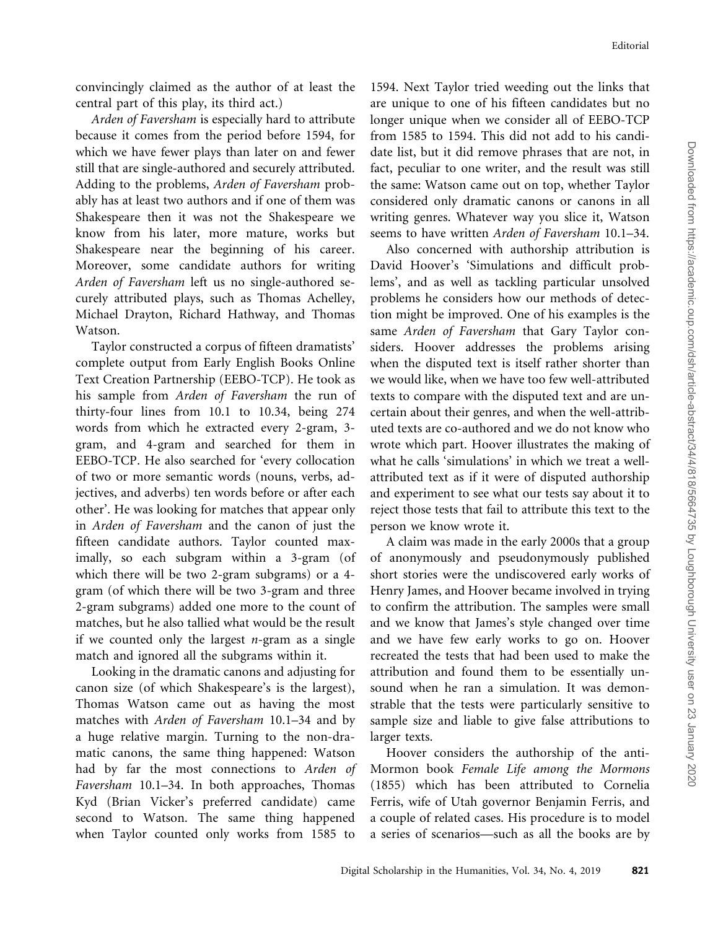convincingly claimed as the author of at least the central part of this play, its third act.)

Arden of Faversham is especially hard to attribute because it comes from the period before 1594, for which we have fewer plays than later on and fewer still that are single-authored and securely attributed. Adding to the problems, Arden of Faversham probably has at least two authors and if one of them was Shakespeare then it was not the Shakespeare we know from his later, more mature, works but Shakespeare near the beginning of his career. Moreover, some candidate authors for writing Arden of Faversham left us no single-authored securely attributed plays, such as Thomas Achelley, Michael Drayton, Richard Hathway, and Thomas Watson.

Taylor constructed a corpus of fifteen dramatists' complete output from Early English Books Online Text Creation Partnership (EEBO-TCP). He took as his sample from Arden of Faversham the run of thirty-four lines from 10.1 to 10.34, being 274 words from which he extracted every 2-gram, 3 gram, and 4-gram and searched for them in EEBO-TCP. He also searched for 'every collocation of two or more semantic words (nouns, verbs, adjectives, and adverbs) ten words before or after each other'. He was looking for matches that appear only in Arden of Faversham and the canon of just the fifteen candidate authors. Taylor counted maximally, so each subgram within a 3-gram (of which there will be two 2-gram subgrams) or a 4 gram (of which there will be two 3-gram and three 2-gram subgrams) added one more to the count of matches, but he also tallied what would be the result if we counted only the largest  $n$ -gram as a single match and ignored all the subgrams within it.

Looking in the dramatic canons and adjusting for canon size (of which Shakespeare's is the largest), Thomas Watson came out as having the most matches with Arden of Faversham 10.1–34 and by a huge relative margin. Turning to the non-dramatic canons, the same thing happened: Watson had by far the most connections to Arden of Faversham 10.1–34. In both approaches, Thomas Kyd (Brian Vicker's preferred candidate) came second to Watson. The same thing happened when Taylor counted only works from 1585 to

1594. Next Taylor tried weeding out the links that are unique to one of his fifteen candidates but no longer unique when we consider all of EEBO-TCP from 1585 to 1594. This did not add to his candidate list, but it did remove phrases that are not, in fact, peculiar to one writer, and the result was still the same: Watson came out on top, whether Taylor considered only dramatic canons or canons in all writing genres. Whatever way you slice it, Watson seems to have written Arden of Faversham 10.1–34.

Also concerned with authorship attribution is David Hoover's 'Simulations and difficult problems', and as well as tackling particular unsolved problems he considers how our methods of detection might be improved. One of his examples is the same Arden of Faversham that Gary Taylor considers. Hoover addresses the problems arising when the disputed text is itself rather shorter than we would like, when we have too few well-attributed texts to compare with the disputed text and are uncertain about their genres, and when the well-attributed texts are co-authored and we do not know who wrote which part. Hoover illustrates the making of what he calls 'simulations' in which we treat a wellattributed text as if it were of disputed authorship and experiment to see what our tests say about it to reject those tests that fail to attribute this text to the person we know wrote it.

A claim was made in the early 2000s that a group of anonymously and pseudonymously published short stories were the undiscovered early works of Henry James, and Hoover became involved in trying to confirm the attribution. The samples were small and we know that James's style changed over time and we have few early works to go on. Hoover recreated the tests that had been used to make the attribution and found them to be essentially unsound when he ran a simulation. It was demonstrable that the tests were particularly sensitive to sample size and liable to give false attributions to larger texts.

Hoover considers the authorship of the anti-Mormon book Female Life among the Mormons (1855) which has been attributed to Cornelia Ferris, wife of Utah governor Benjamin Ferris, and a couple of related cases. His procedure is to model a series of scenarios—such as all the books are by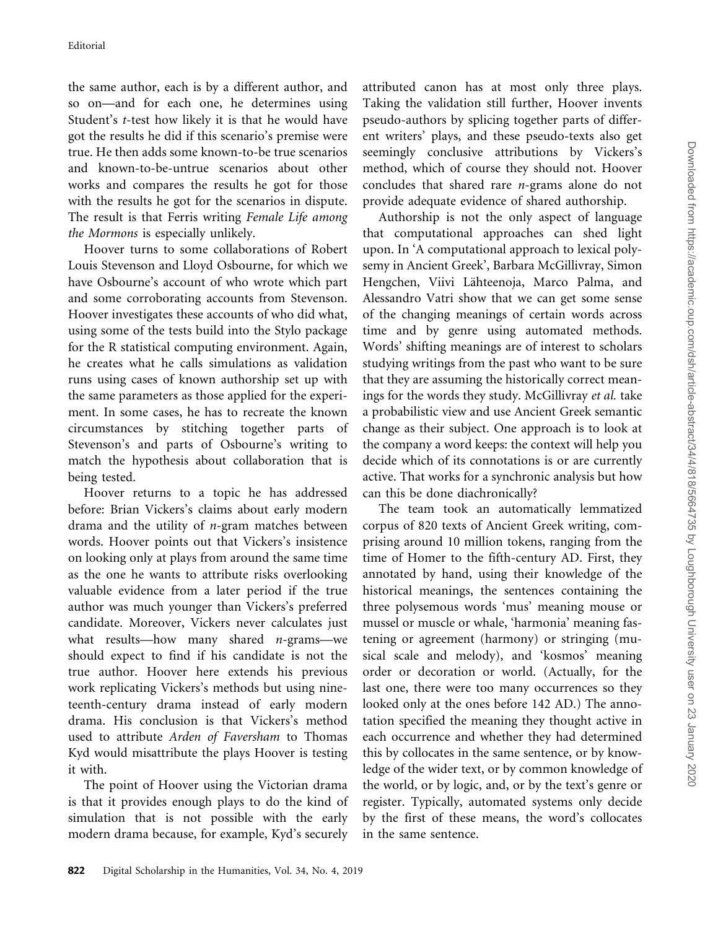the same author, each is by a different author, and so on—and for each one, he determines using Student's t-test how likely it is that he would have got the results he did if this scenario's premise were true. He then adds some known-to-be true scenarios and known-to-be-untrue scenarios about other works and compares the results he got for those with the results he got for the scenarios in dispute. The result is that Ferris writing Female Life among the Mormons is especially unlikely.

Hoover turns to some collaborations of Robert Louis Stevenson and Lloyd Osbourne, for which we have Osbourne's account of who wrote which part and some corroborating accounts from Stevenson. Hoover investigates these accounts of who did what, using some of the tests build into the Stylo package for the R statistical computing environment. Again, he creates what he calls simulations as validation runs using cases of known authorship set up with the same parameters as those applied for the experiment. In some cases, he has to recreate the known circumstances by stitching together parts of Stevenson's and parts of Osbourne's writing to match the hypothesis about collaboration that is being tested.

Hoover returns to a topic he has addressed before: Brian Vickers's claims about early modern drama and the utility of n-gram matches between words. Hoover points out that Vickers's insistence on looking only at plays from around the same time as the one he wants to attribute risks overlooking valuable evidence from a later period if the true author was much younger than Vickers's preferred candidate. Moreover, Vickers never calculates just what results—how many shared  $n$ -grams—we should expect to find if his candidate is not the true author. Hoover here extends his previous work replicating Vickers's methods but using nineteenth-century drama instead of early modern drama. His conclusion is that Vickers's method used to attribute Arden of Faversham to Thomas Kyd would misattribute the plays Hoover is testing it with.

The point of Hoover using the Victorian drama is that it provides enough plays to do the kind of simulation that is not possible with the early modern drama because, for example, Kyd's securely attributed canon has at most only three plays. Taking the validation still further, Hoover invents pseudo-authors by splicing together parts of different writers' plays, and these pseudo-texts also get seemingly conclusive attributions by Vickers's method, which of course they should not. Hoover concludes that shared rare n-grams alone do not provide adequate evidence of shared authorship.

Authorship is not the only aspect of language that computational approaches can shed light upon. In 'A computational approach to lexical polysemy in Ancient Greek', Barbara McGillivray, Simon Hengchen, Viivi Lähteenoja, Marco Palma, and Alessandro Vatri show that we can get some sense of the changing meanings of certain words across time and by genre using automated methods. Words' shifting meanings are of interest to scholars studying writings from the past who want to be sure that they are assuming the historically correct meanings for the words they study. McGillivray et al. take a probabilistic view and use Ancient Greek semantic change as their subject. One approach is to look at the company a word keeps: the context will help you decide which of its connotations is or are currently active. That works for a synchronic analysis but how can this be done diachronically?

The team took an automatically lemmatized corpus of 820 texts of Ancient Greek writing, comprising around 10 million tokens, ranging from the time of Homer to the fifth-century AD. First, they annotated by hand, using their knowledge of the historical meanings, the sentences containing the three polysemous words 'mus' meaning mouse or mussel or muscle or whale, 'harmonia' meaning fastening or agreement (harmony) or stringing (musical scale and melody), and 'kosmos' meaning order or decoration or world. (Actually, for the last one, there were too many occurrences so they looked only at the ones before 142 AD.) The annotation specified the meaning they thought active in each occurrence and whether they had determined this by collocates in the same sentence, or by knowledge of the wider text, or by common knowledge of the world, or by logic, and, or by the text's genre or register. Typically, automated systems only decide by the first of these means, the word's collocates in the same sentence.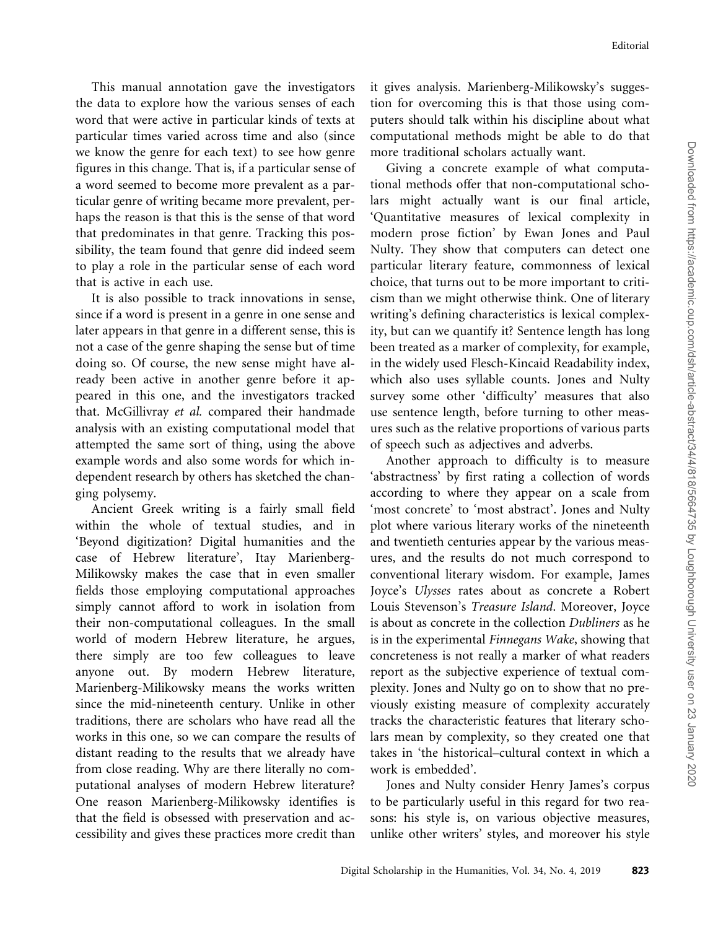This manual annotation gave the investigators the data to explore how the various senses of each word that were active in particular kinds of texts at particular times varied across time and also (since we know the genre for each text) to see how genre figures in this change. That is, if a particular sense of a word seemed to become more prevalent as a particular genre of writing became more prevalent, perhaps the reason is that this is the sense of that word that predominates in that genre. Tracking this possibility, the team found that genre did indeed seem to play a role in the particular sense of each word that is active in each use.

It is also possible to track innovations in sense, since if a word is present in a genre in one sense and later appears in that genre in a different sense, this is not a case of the genre shaping the sense but of time doing so. Of course, the new sense might have already been active in another genre before it appeared in this one, and the investigators tracked that. McGillivray et al. compared their handmade analysis with an existing computational model that attempted the same sort of thing, using the above example words and also some words for which independent research by others has sketched the changing polysemy.

Ancient Greek writing is a fairly small field within the whole of textual studies, and in 'Beyond digitization? Digital humanities and the case of Hebrew literature', Itay Marienberg-Milikowsky makes the case that in even smaller fields those employing computational approaches simply cannot afford to work in isolation from their non-computational colleagues. In the small world of modern Hebrew literature, he argues, there simply are too few colleagues to leave anyone out. By modern Hebrew literature, Marienberg-Milikowsky means the works written since the mid-nineteenth century. Unlike in other traditions, there are scholars who have read all the works in this one, so we can compare the results of distant reading to the results that we already have from close reading. Why are there literally no computational analyses of modern Hebrew literature? One reason Marienberg-Milikowsky identifies is that the field is obsessed with preservation and accessibility and gives these practices more credit than

it gives analysis. Marienberg-Milikowsky's suggestion for overcoming this is that those using computers should talk within his discipline about what computational methods might be able to do that more traditional scholars actually want.

Giving a concrete example of what computational methods offer that non-computational scholars might actually want is our final article, 'Quantitative measures of lexical complexity in modern prose fiction' by Ewan Jones and Paul Nulty. They show that computers can detect one particular literary feature, commonness of lexical choice, that turns out to be more important to criticism than we might otherwise think. One of literary writing's defining characteristics is lexical complexity, but can we quantify it? Sentence length has long been treated as a marker of complexity, for example, in the widely used Flesch-Kincaid Readability index, which also uses syllable counts. Jones and Nulty survey some other 'difficulty' measures that also use sentence length, before turning to other measures such as the relative proportions of various parts of speech such as adjectives and adverbs.

Another approach to difficulty is to measure 'abstractness' by first rating a collection of words according to where they appear on a scale from 'most concrete' to 'most abstract'. Jones and Nulty plot where various literary works of the nineteenth and twentieth centuries appear by the various measures, and the results do not much correspond to conventional literary wisdom. For example, James Joyce's Ulysses rates about as concrete a Robert Louis Stevenson's Treasure Island. Moreover, Joyce is about as concrete in the collection Dubliners as he is in the experimental Finnegans Wake, showing that concreteness is not really a marker of what readers report as the subjective experience of textual complexity. Jones and Nulty go on to show that no previously existing measure of complexity accurately tracks the characteristic features that literary scholars mean by complexity, so they created one that takes in 'the historical–cultural context in which a work is embedded'.

Jones and Nulty consider Henry James's corpus to be particularly useful in this regard for two reasons: his style is, on various objective measures, unlike other writers' styles, and moreover his style